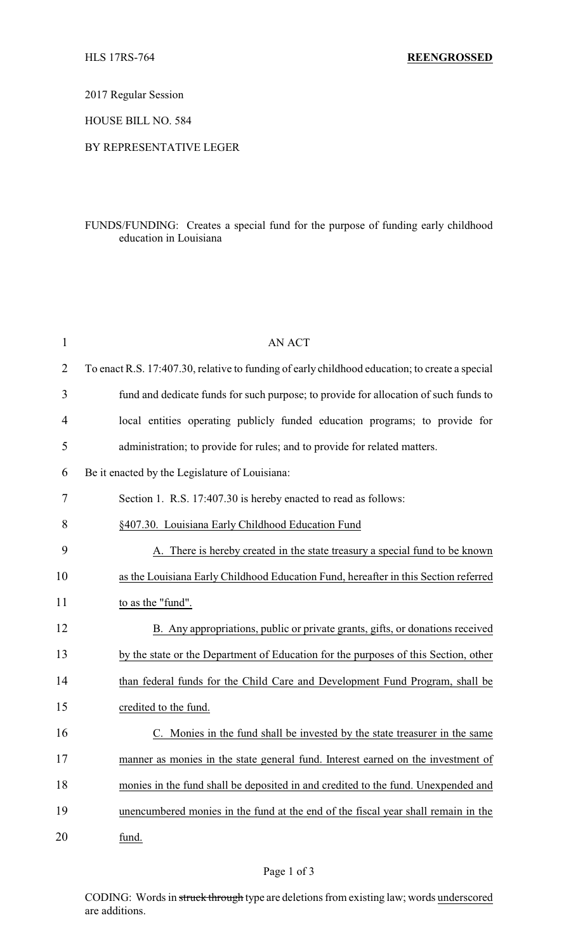2017 Regular Session

HOUSE BILL NO. 584

## BY REPRESENTATIVE LEGER

## FUNDS/FUNDING: Creates a special fund for the purpose of funding early childhood education in Louisiana

| $\mathbf{1}$ | <b>AN ACT</b>                                                                                  |
|--------------|------------------------------------------------------------------------------------------------|
| 2            | To enact R.S. 17:407.30, relative to funding of early childhood education; to create a special |
| 3            | fund and dedicate funds for such purpose; to provide for allocation of such funds to           |
| 4            | local entities operating publicly funded education programs; to provide for                    |
| 5            | administration; to provide for rules; and to provide for related matters.                      |
| 6            | Be it enacted by the Legislature of Louisiana:                                                 |
| $\tau$       | Section 1. R.S. 17:407.30 is hereby enacted to read as follows:                                |
| 8            | §407.30. Louisiana Early Childhood Education Fund                                              |
| 9            | A. There is hereby created in the state treasury a special fund to be known                    |
| 10           | as the Louisiana Early Childhood Education Fund, hereafter in this Section referred            |
| 11           | to as the "fund".                                                                              |
| 12           | B. Any appropriations, public or private grants, gifts, or donations received                  |
| 13           | by the state or the Department of Education for the purposes of this Section, other            |
| 14           | than federal funds for the Child Care and Development Fund Program, shall be                   |
| 15           | credited to the fund.                                                                          |
| 16           | C. Monies in the fund shall be invested by the state treasurer in the same                     |
| 17           | manner as monies in the state general fund. Interest earned on the investment of               |
| 18           | monies in the fund shall be deposited in and credited to the fund. Unexpended and              |
| 19           | unencumbered monies in the fund at the end of the fiscal year shall remain in the              |
| 20           | fund.                                                                                          |

CODING: Words in struck through type are deletions from existing law; words underscored are additions.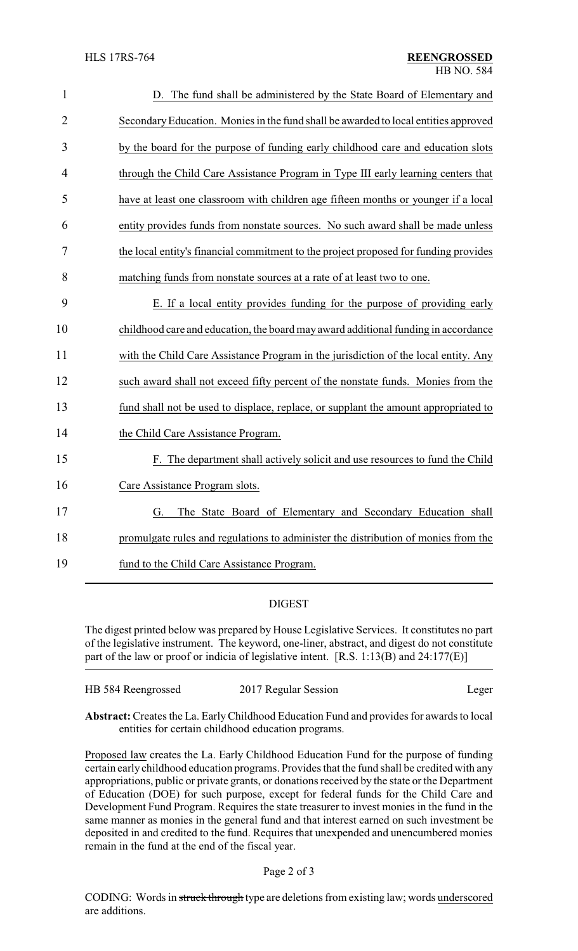| $\mathbf{1}$   | D. The fund shall be administered by the State Board of Elementary and               |
|----------------|--------------------------------------------------------------------------------------|
| $\overline{2}$ | Secondary Education. Monies in the fund shall be awarded to local entities approved  |
| 3              | by the board for the purpose of funding early childhood care and education slots     |
| $\overline{4}$ | through the Child Care Assistance Program in Type III early learning centers that    |
| 5              | have at least one classroom with children age fifteen months or younger if a local   |
| 6              | entity provides funds from nonstate sources. No such award shall be made unless      |
| 7              | the local entity's financial commitment to the project proposed for funding provides |
| 8              | matching funds from nonstate sources at a rate of at least two to one.               |
| 9              | E. If a local entity provides funding for the purpose of providing early             |
| 10             | childhood care and education, the board may award additional funding in accordance   |
| 11             | with the Child Care Assistance Program in the jurisdiction of the local entity. Any  |
| 12             | such award shall not exceed fifty percent of the nonstate funds. Monies from the     |
| 13             | fund shall not be used to displace, replace, or supplant the amount appropriated to  |
| 14             | the Child Care Assistance Program.                                                   |
| 15             | F. The department shall actively solicit and use resources to fund the Child         |
| 16             | Care Assistance Program slots.                                                       |
| 17             | The State Board of Elementary and Secondary Education shall<br>G.                    |
| 18             | promulgate rules and regulations to administer the distribution of monies from the   |
| 19             | fund to the Child Care Assistance Program.                                           |

## DIGEST

The digest printed below was prepared by House Legislative Services. It constitutes no part of the legislative instrument. The keyword, one-liner, abstract, and digest do not constitute part of the law or proof or indicia of legislative intent. [R.S. 1:13(B) and 24:177(E)]

| HB 584 Reengrossed | 2017 Regular Session | Leger |
|--------------------|----------------------|-------|
|                    |                      |       |

**Abstract:** Creates the La. EarlyChildhood Education Fund and provides for awards to local entities for certain childhood education programs.

Proposed law creates the La. Early Childhood Education Fund for the purpose of funding certain earlychildhood education programs. Provides that the fund shall be credited with any appropriations, public or private grants, or donations received by the state or the Department of Education (DOE) for such purpose, except for federal funds for the Child Care and Development Fund Program. Requires the state treasurer to invest monies in the fund in the same manner as monies in the general fund and that interest earned on such investment be deposited in and credited to the fund. Requires that unexpended and unencumbered monies remain in the fund at the end of the fiscal year.

Page 2 of 3

CODING: Words in struck through type are deletions from existing law; words underscored are additions.